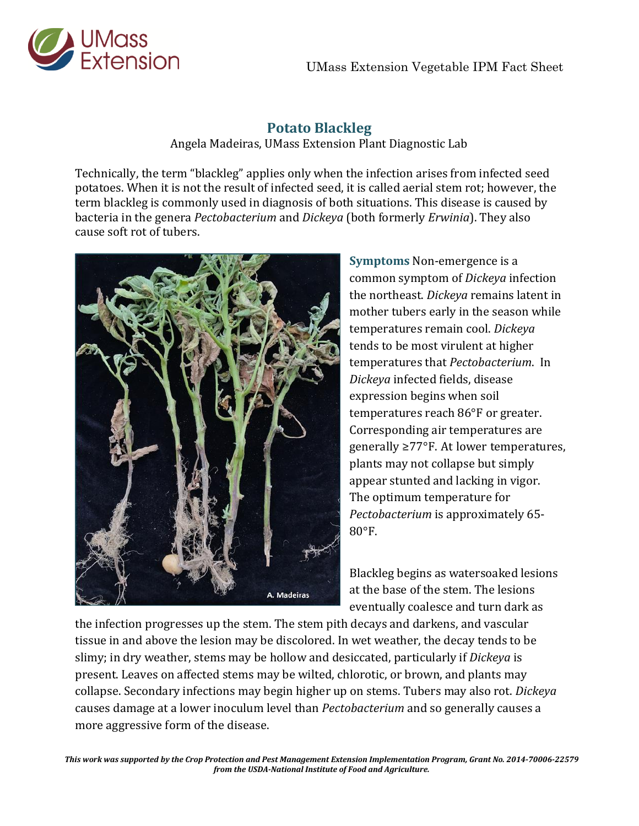

## **Potato Blackleg**

Angela Madeiras, UMass Extension Plant Diagnostic Lab

Technically, the term "blackleg" applies only when the infection arises from infected seed potatoes. When it is not the result of infected seed, it is called aerial stem rot; however, the term blackleg is commonly used in diagnosis of both situations. This disease is caused by bacteria in the genera *Pectobacterium* and *Dickeya* (both formerly *Erwinia*). They also cause soft rot of tubers.



**Symptoms** Non-emergence is a common symptom of *Dickeya* infection the northeast. *Dickeya* remains latent in mother tubers early in the season while temperatures remain cool. *Dickeya* tends to be most virulent at higher temperatures that *Pectobacterium*. In *Dickeya* infected fields, disease expression begins when soil temperatures reach 86°F or greater. Corresponding air temperatures are generally ≥77°F. At lower temperatures, plants may not collapse but simply appear stunted and lacking in vigor. The optimum temperature for *Pectobacterium* is approximately 65- 80°F.

Blackleg begins as watersoaked lesions at the base of the stem. The lesions eventually coalesce and turn dark as

the infection progresses up the stem. The stem pith decays and darkens, and vascular tissue in and above the lesion may be discolored. In wet weather, the decay tends to be slimy; in dry weather, stems may be hollow and desiccated, particularly if *Dickeya* is present. Leaves on affected stems may be wilted, chlorotic, or brown, and plants may collapse. Secondary infections may begin higher up on stems. Tubers may also rot. *Dickeya* causes damage at a lower inoculum level than *Pectobacterium* and so generally causes a more aggressive form of the disease.

*This work was supported by the Crop Protection and Pest Management Extension Implementation Program, Grant No. 2014-70006-22579 from the USDA-National Institute of Food and Agriculture.*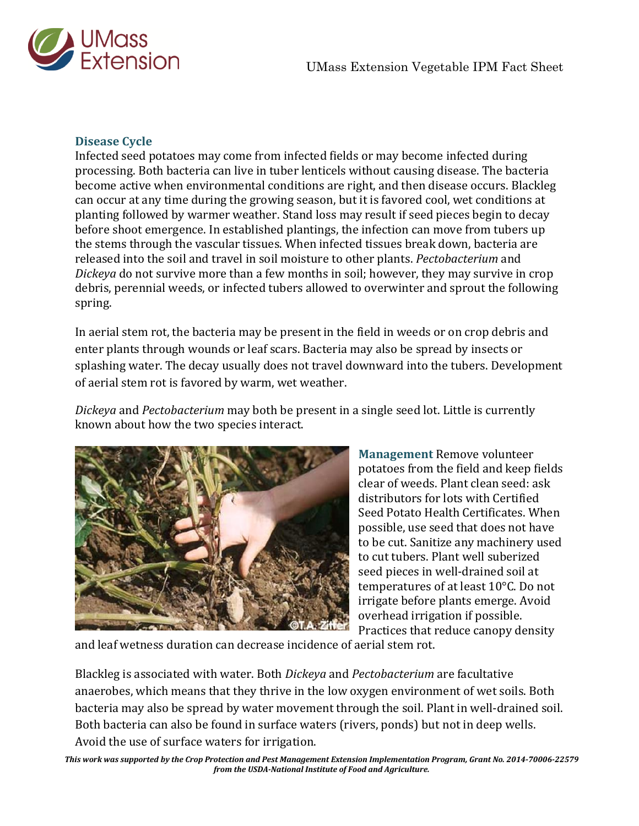

## **Disease Cycle**

Infected seed potatoes may come from infected fields or may become infected during processing. Both bacteria can live in tuber lenticels without causing disease. The bacteria become active when environmental conditions are right, and then disease occurs. Blackleg can occur at any time during the growing season, but it is favored cool, wet conditions at planting followed by warmer weather. Stand loss may result if seed pieces begin to decay before shoot emergence. In established plantings, the infection can move from tubers up the stems through the vascular tissues. When infected tissues break down, bacteria are released into the soil and travel in soil moisture to other plants. *Pectobacterium* and *Dickeya* do not survive more than a few months in soil; however, they may survive in crop debris, perennial weeds, or infected tubers allowed to overwinter and sprout the following spring.

In aerial stem rot, the bacteria may be present in the field in weeds or on crop debris and enter plants through wounds or leaf scars. Bacteria may also be spread by insects or splashing water. The decay usually does not travel downward into the tubers. Development of aerial stem rot is favored by warm, wet weather.

*Dickeya* and *Pectobacterium* may both be present in a single seed lot. Little is currently known about how the two species interact.



**Management** Remove volunteer potatoes from the field and keep fields clear of weeds. Plant clean seed: ask distributors for lots with Certified Seed Potato Health Certificates. When possible, use seed that does not have to be cut. Sanitize any machinery used to cut tubers. Plant well suberized seed pieces in well-drained soil at temperatures of at least 10°C. Do not irrigate before plants emerge. Avoid overhead irrigation if possible. Practices that reduce canopy density

and leaf wetness duration can decrease incidence of aerial stem rot.

Blackleg is associated with water. Both *Dickeya* and *Pectobacterium* are facultative anaerobes, which means that they thrive in the low oxygen environment of wet soils. Both bacteria may also be spread by water movement through the soil. Plant in well-drained soil. Both bacteria can also be found in surface waters (rivers, ponds) but not in deep wells. Avoid the use of surface waters for irrigation.

*This work was supported by the Crop Protection and Pest Management Extension Implementation Program, Grant No. 2014-70006-22579 from the USDA-National Institute of Food and Agriculture.*